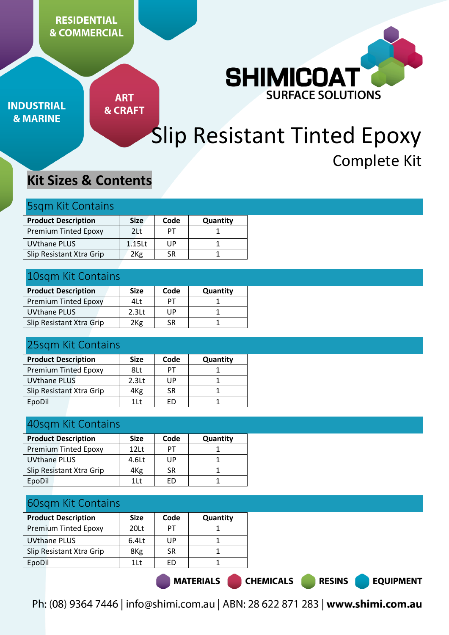

**INDUSTRIAL & MARINE** 

**ART & CRAFT** 

# Slip Resistant Tinted Epoxy Complete Kit

## **Kit Sizes & Contents**

## 5sqm Kit Contains

| <b>Product Description</b>  | <b>Size</b>        | Code | Quantity |
|-----------------------------|--------------------|------|----------|
| <b>Premium Tinted Epoxy</b> | 2Lt                | PТ   |          |
| <b>UVthane PLUS</b>         | 1.15 <sub>ct</sub> | UP   |          |
| Slip Resistant Xtra Grip    | 2 <sub>Kg</sub>    | SR   |          |

#### 10sqm Kit Contains

| <b>Product Description</b>  | <b>Size</b>       | Code | <b>Quantity</b> |
|-----------------------------|-------------------|------|-----------------|
| <b>Premium Tinted Epoxy</b> | 4L t              | PТ   |                 |
| UVthane PLUS                | 2.3 <sub>lt</sub> | UP   |                 |
| Slip Resistant Xtra Grip    | 2 <sub>Kg</sub>   | SR   |                 |

## 25sqm Kit Contains

| <b>Product Description</b>  | <b>Size</b>       | Code | Quantity |
|-----------------------------|-------------------|------|----------|
| <b>Premium Tinted Epoxy</b> | 8Lt               | PТ   |          |
| <b>UVthane PLUS</b>         | 2.3 <sub>lt</sub> | UP   |          |
| Slip Resistant Xtra Grip    | 4Kg               | SR   |          |
| EpoDil                      | 1 <sup>†</sup>    | FD   |          |

#### 40sqm Kit Contains

| <b>Product Description</b>  | <b>Size</b>    | Code | Quantity |
|-----------------------------|----------------|------|----------|
| <b>Premium Tinted Epoxy</b> | 12Lt           | PТ   |          |
| <b>UVthane PLUS</b>         | 4.6Lt          | UP   |          |
| Slip Resistant Xtra Grip    | 4Kg            | SR   |          |
| EpoDil                      | 1 <sup>1</sup> | FD   |          |

## 60sqm Kit Contains

| <b>Product Description</b>  | <b>Size</b>    | Code | <b>Quantity</b> |
|-----------------------------|----------------|------|-----------------|
| <b>Premium Tinted Epoxy</b> | 20Lt           | PТ   |                 |
| <b>UVthane PLUS</b>         | $6.4$ Lt       | UP   |                 |
| Slip Resistant Xtra Grip    | 8Kg            | SR   |                 |
| EpoDil                      | 1 <sup>1</sup> | FN   |                 |
|                             |                |      |                 |

MATERIALS CHEMICALS

Ph: (08) 9364 7446 | info@shimi.com.au | ABN: 28 622 871 283 | www.shimi.com.au

**RESINS** 

**EQUIPMENT**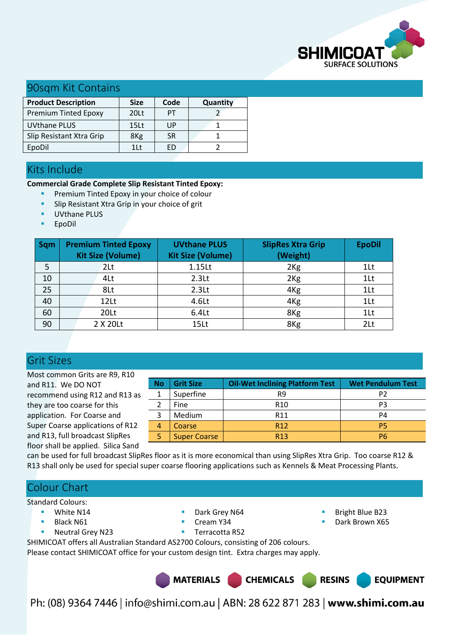

#### 90sqm Kit Contains

| <b>Product Description</b>  | <b>Size</b>      | Code      | Quantity |
|-----------------------------|------------------|-----------|----------|
| <b>Premium Tinted Epoxy</b> | 20Lt             | PТ        |          |
| <b>UVthane PLUS</b>         | 15 <sub>Lt</sub> | UP        |          |
| Slip Resistant Xtra Grip    | 8 <sub>Kg</sub>  | <b>SR</b> |          |
| EpoDil                      | 11t              |           |          |

#### Kits Include

**Commercial Grade Complete Slip Resistant Tinted Epoxy:** 

- Premium Tinted Epoxy in your choice of colour
- Slip Resistant Xtra Grip in your choice of grit
- UVthane PLUS
- EpoDil

| <b>Sqm</b> | <b>Premium Tinted Epoxy</b><br><b>Kit Size (Volume)</b> | <b>UVthane PLUS</b><br><b>Kit Size (Volume)</b> | <b>SlipRes Xtra Grip</b><br>(Weight) | <b>EpoDil</b>  |
|------------|---------------------------------------------------------|-------------------------------------------------|--------------------------------------|----------------|
| 5          | 2Lt                                                     | 1.15Lt                                          | 2 <sub>Kg</sub>                      | $1$ Lt         |
| 10         | 4Lt                                                     | 2.3 <sub>kt</sub>                               | 2 <sub>Kg</sub>                      | 1Lt            |
| 25         | 8Lt                                                     | 2.3 <sub>kt</sub>                               | 4 <sub>Kg</sub>                      | 1Lt            |
| 40         | 12Lt                                                    | 4.6Lt                                           | 4 <sub>Kg</sub>                      | 1Lt            |
| 60         | 20Lt                                                    | 6.4Lt                                           | 8Kg                                  | $1$ Lt         |
| 90         | 2 X 20Lt                                                | 15Lt                                            | 8Kg                                  | 2 <sub>2</sub> |

#### Grit Sizes

Most common Grits are R9, R10 and R11. We DO NOT recommend using R12 and R13 as they are too coarse for this application. For Coarse and Super Coarse applications of R12 and R13, full broadcast SlipRes floor shall be applied. Silica Sand

| <b>No</b>               | <b>Grit Size</b>    | <b>Oil-Wet Inclining Platform Test</b> | <b>Wet Pendulum Test</b> |
|-------------------------|---------------------|----------------------------------------|--------------------------|
|                         |                     |                                        |                          |
|                         | Superfine           | R9                                     | P <sub>2</sub>           |
| $\overline{\mathbf{c}}$ | Fine                | R <sub>10</sub>                        | P <sub>3</sub>           |
| 3                       | Medium              | R11                                    | P <sub>4</sub>           |
| 4                       | <b>Coarse</b>       | R <sub>12</sub>                        | P5                       |
| 5                       | <b>Super Coarse</b> | R <sub>13</sub>                        | P6                       |

can be used for full broadcast SlipRes floor as it is more economical than using SlipRes Xtra Grip. Too coarse R12 & R13 shall only be used for special super coarse flooring applications such as Kennels & Meat Processing Plants.

#### Colour Chart

Standard Colours:

- **White N14**
- Black N61
- **Neutral Grey N23**
- Dark Grey N64
- Cream Y34

 Bright Blue B23 Dark Brown X65

**Terracotta R52** SHIMICOAT offers all Australian Standard AS2700 Colours, consisting of 206 colours. Please contact SHIMICOAT office for your custom design tint. Extra charges may apply.

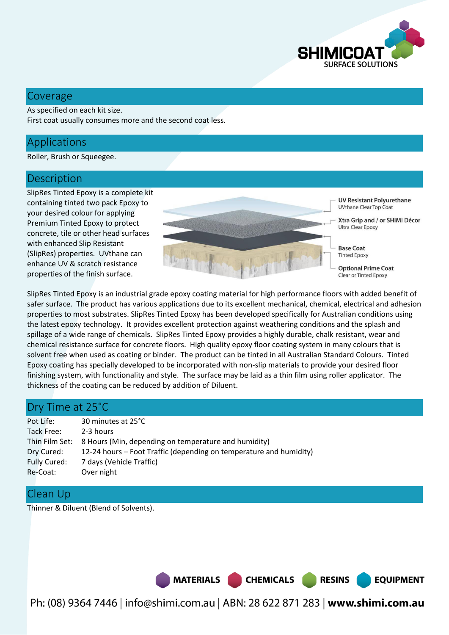

#### Coverage

As specified on each kit size. First coat usually consumes more and the second coat less.

#### Applications

Roller, Brush or Squeegee.

#### **Description**

SlipRes Tinted Epoxy is a complete kit containing tinted two pack Epoxy to your desired colour for applying Premium Tinted Epoxy to protect concrete, tile or other head surfaces with enhanced Slip Resistant (SlipRes) properties. UVthane can enhance UV & scratch resistance properties of the finish surface.



SlipRes Tinted Epoxy is an industrial grade epoxy coating material for high performance floors with added benefit of safer surface. The product has various applications due to its excellent mechanical, chemical, electrical and adhesion properties to most substrates. SlipRes Tinted Epoxy has been developed specifically for Australian conditions using the latest epoxy technology. It provides excellent protection against weathering conditions and the splash and spillage of a wide range of chemicals. SlipRes Tinted Epoxy provides a highly durable, chalk resistant, wear and chemical resistance surface for concrete floors. High quality epoxy floor coating system in many colours that is solvent free when used as coating or binder. The product can be tinted in all Australian Standard Colours. Tinted Epoxy coating has specially developed to be incorporated with non-slip materials to provide your desired floor finishing system, with functionality and style. The surface may be laid as a thin film using roller applicator. The thickness of the coating can be reduced by addition of Diluent.

#### Dry Time at 25°C

| Pot Life:    | 30 minutes at 25°C                                                  |
|--------------|---------------------------------------------------------------------|
| Tack Free:   | 2-3 hours                                                           |
|              | Thin Film Set: 8 Hours (Min, depending on temperature and humidity) |
| Dry Cured:   | 12-24 hours – Foot Traffic (depending on temperature and humidity)  |
| Fully Cured: | 7 days (Vehicle Traffic)                                            |
| Re-Coat:     | Over night                                                          |

#### Clean Up

Thinner & Diluent (Blend of Solvents).

MATERIALS CHEMICALS

Ph: (08) 9364 7446 | info@shimi.com.au | ABN: 28 622 871 283 | www.shimi.com.au

**RESINS** 

**EQUIPMENT**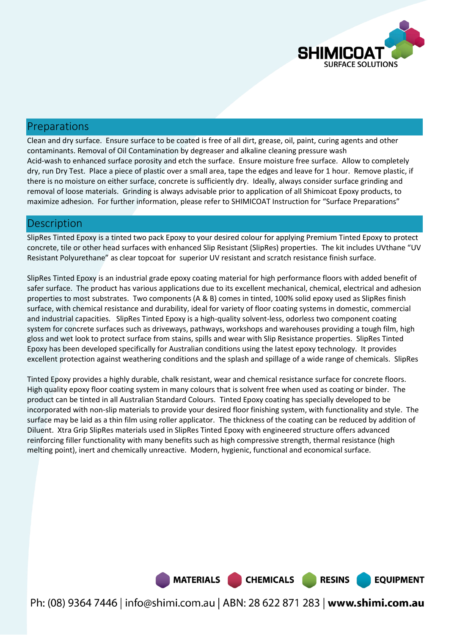

#### Preparations

Clean and dry surface. Ensure surface to be coated is free of all dirt, grease, oil, paint, curing agents and other contaminants. Removal of Oil Contamination by degreaser and alkaline cleaning pressure wash Acid-wash to enhanced surface porosity and etch the surface. Ensure moisture free surface. Allow to completely dry, run Dry Test. Place a piece of plastic over a small area, tape the edges and leave for 1 hour. Remove plastic, if there is no moisture on either surface, concrete is sufficiently dry. Ideally, always consider surface grinding and removal of loose materials. Grinding is always advisable prior to application of all Shimicoat Epoxy products, to maximize adhesion. For further information, please refer to SHIMICOAT Instruction for "Surface Preparations"

#### **Description**

SlipRes Tinted Epoxy is a tinted two pack Epoxy to your desired colour for applying Premium Tinted Epoxy to protect concrete, tile or other head surfaces with enhanced Slip Resistant (SlipRes) properties. The kit includes UVthane "UV Resistant Polyurethane" as clear topcoat for superior UV resistant and scratch resistance finish surface.

SlipRes Tinted Epoxy is an industrial grade epoxy coating material for high performance floors with added benefit of safer surface. The product has various applications due to its excellent mechanical, chemical, electrical and adhesion properties to most substrates. Two components (A & B) comes in tinted, 100% solid epoxy used as SlipRes finish surface, with chemical resistance and durability, ideal for variety of floor coating systems in domestic, commercial and industrial capacities. SlipRes Tinted Epoxy is a high-quality solvent-less, odorless two component coating system for concrete surfaces such as driveways, pathways, workshops and warehouses providing a tough film, high gloss and wet look to protect surface from stains, spills and wear with Slip Resistance properties. SlipRes Tinted Epoxy has been developed specifically for Australian conditions using the latest epoxy technology. It provides excellent protection against weathering conditions and the splash and spillage of a wide range of chemicals. SlipRes

Tinted Epoxy provides a highly durable, chalk resistant, wear and chemical resistance surface for concrete floors. High quality epoxy floor coating system in many colours that is solvent free when used as coating or binder. The product can be tinted in all Australian Standard Colours. Tinted Epoxy coating has specially developed to be incorporated with non-slip materials to provide your desired floor finishing system, with functionality and style. The surface may be laid as a thin film using roller applicator. The thickness of the coating can be reduced by addition of Diluent. Xtra Grip SlipRes materials used in SlipRes Tinted Epoxy with engineered structure offers advanced reinforcing filler functionality with many benefits such as high compressive strength, thermal resistance (high melting point), inert and chemically unreactive. Modern, hygienic, functional and economical surface.

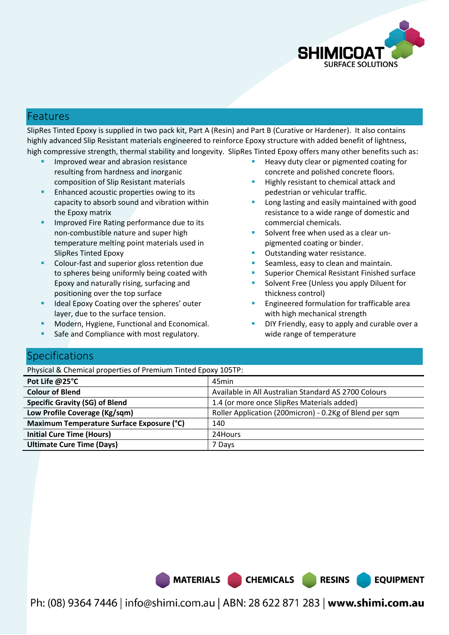

#### Features

SlipRes Tinted Epoxy is supplied in two pack kit, Part A (Resin) and Part B (Curative or Hardener). It also contains highly advanced Slip Resistant materials engineered to reinforce Epoxy structure with added benefit of lightness, high compressive strength, thermal stability and longevity. SlipRes Tinted Epoxy offers many other benefits such as:

- Improved wear and abrasion resistance resulting from hardness and inorganic composition of Slip Resistant materials
- **Enhanced acoustic properties owing to its** capacity to absorb sound and vibration within the Epoxy matrix
- Improved Fire Rating performance due to its non-combustible nature and super high temperature melting point materials used in SlipRes Tinted Epoxy
- Colour-fast and superior gloss retention due to spheres being uniformly being coated with Epoxy and naturally rising, surfacing and positioning over the top surface
- Ideal Epoxy Coating over the spheres' outer layer, due to the surface tension.
- Modern, Hygiene, Functional and Economical.
- Safe and Compliance with most regulatory.
- Heavy duty clear or pigmented coating for concrete and polished concrete floors.
- Highly resistant to chemical attack and pedestrian or vehicular traffic.
- Long lasting and easily maintained with good resistance to a wide range of domestic and commercial chemicals.
- Solvent free when used as a clear unpigmented coating or binder.
- Outstanding water resistance.
- Seamless, easy to clean and maintain.
- Superior Chemical Resistant Finished surface
- Solvent Free (Unless you apply Diluent for thickness control)
- Engineered formulation for trafficable area with high mechanical strength
- DIY Friendly, easy to apply and curable over a wide range of temperature

**RESINS** 

**EQUIPMENT** 

## **Specifications**

Physical & Chemical properties of Premium Tinted Epoxy 105TP:

| Pot Life @25°C                            | 45min                                                   |
|-------------------------------------------|---------------------------------------------------------|
| <b>Colour of Blend</b>                    | Available in All Australian Standard AS 2700 Colours    |
| <b>Specific Gravity (SG) of Blend</b>     | 1.4 (or more once SlipRes Materials added)              |
| Low Profile Coverage (Kg/sqm)             | Roller Application (200micron) - 0.2Kg of Blend per sqm |
| Maximum Temperature Surface Exposure (°C) | 140                                                     |
| <b>Initial Cure Time (Hours)</b>          | 24Hours                                                 |
| <b>Ultimate Cure Time (Days)</b>          | 7 Days                                                  |

MATERIALS CHEMICALS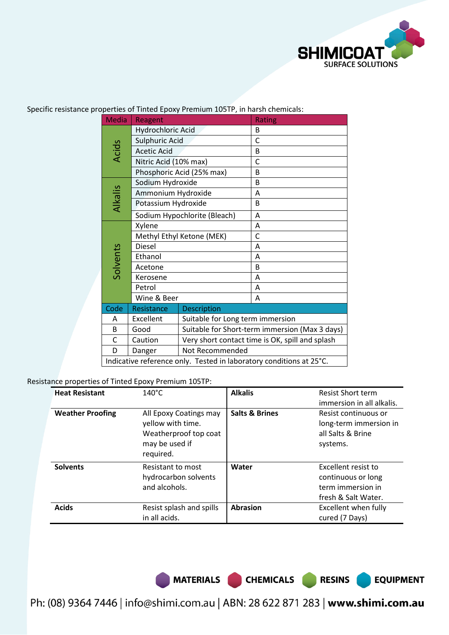

| <b>Media</b> | Reagent                                                             |                                                 | Rating |  |
|--------------|---------------------------------------------------------------------|-------------------------------------------------|--------|--|
|              | Hydrochloric Acid                                                   |                                                 | B      |  |
|              | Sulphuric Acid                                                      |                                                 | C      |  |
| <b>Acids</b> | <b>Acetic Acid</b>                                                  |                                                 | B      |  |
|              | Nitric Acid (10% max)                                               |                                                 | C      |  |
|              |                                                                     | Phosphoric Acid (25% max)                       | B      |  |
|              | Sodium Hydroxide                                                    |                                                 | B      |  |
|              | Ammonium Hydroxide                                                  |                                                 | A      |  |
| Alkalis      | Potassium Hydroxide                                                 |                                                 | B      |  |
|              |                                                                     | Sodium Hypochlorite (Bleach)                    | A      |  |
|              | Xylene                                                              |                                                 | A      |  |
|              | Methyl Ethyl Ketone (MEK)                                           |                                                 | C      |  |
|              | <b>Diesel</b>                                                       |                                                 | A      |  |
| Solvents     | Ethanol                                                             |                                                 | A      |  |
|              | Acetone                                                             |                                                 | B      |  |
|              | Kerosene                                                            |                                                 | A      |  |
|              | Petrol                                                              |                                                 | A      |  |
|              | Wine & Beer                                                         |                                                 | A      |  |
| Code         | <b>Description</b><br>Resistance                                    |                                                 |        |  |
| Α            | Excellent                                                           | Suitable for Long term immersion                |        |  |
| B            | Good                                                                | Suitable for Short-term immersion (Max 3 days)  |        |  |
| С            | Caution                                                             | Very short contact time is OK, spill and splash |        |  |
| D            | Danger                                                              | Not Recommended                                 |        |  |
|              | Indicative reference only. Tested in laboratory conditions at 25°C. |                                                 |        |  |

Specific resistance properties of Tinted Epoxy Premium 105TP, in harsh chemicals:

Resistance properties of Tinted Epoxy Premium 105TP:

| <b>Heat Resistant</b>   | $140^{\circ}$ C                                                                                     | <b>Alkalis</b>            | <b>Resist Short term</b><br>immersion in all alkalis.                                 |
|-------------------------|-----------------------------------------------------------------------------------------------------|---------------------------|---------------------------------------------------------------------------------------|
| <b>Weather Proofing</b> | All Epoxy Coatings may<br>yellow with time.<br>Weatherproof top coat<br>may be used if<br>required. | <b>Salts &amp; Brines</b> | Resist continuous or<br>long-term immersion in<br>all Salts & Brine<br>systems.       |
| <b>Solvents</b>         | Resistant to most<br>hydrocarbon solvents<br>and alcohols.                                          | Water                     | Excellent resist to<br>continuous or long<br>term immersion in<br>fresh & Salt Water. |
| <b>Acids</b>            | Resist splash and spills<br>in all acids.                                                           | <b>Abrasion</b>           | Excellent when fully<br>cured (7 Days)                                                |

MATERIALS CHEMICALS RESINS

**EQUIPMENT**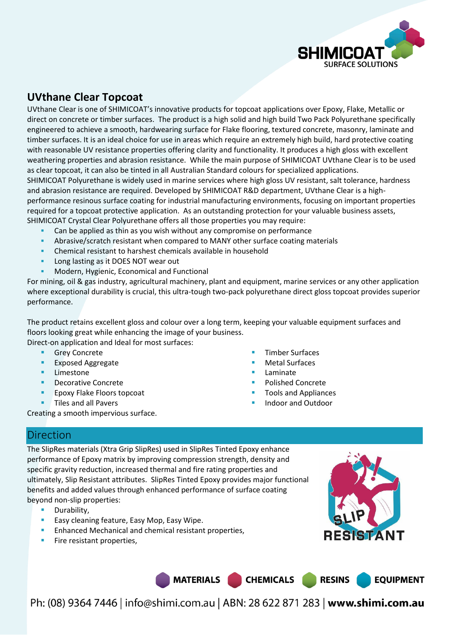

### **UVthane Clear Topcoat**

UVthane Clear is one of SHIMICOAT's innovative products for topcoat applications over Epoxy, Flake, Metallic or direct on concrete or timber surfaces. The product is a high solid and high build Two Pack Polyurethane specifically engineered to achieve a smooth, hardwearing surface for Flake flooring, textured concrete, masonry, laminate and timber surfaces. It is an ideal choice for use in areas which require an extremely high build, hard protective coating with reasonable UV resistance properties offering clarity and functionality. It produces a high gloss with excellent weathering properties and abrasion resistance. While the main purpose of SHIMICOAT UVthane Clear is to be used as clear topcoat, it can also be tinted in all Australian Standard colours for specialized applications. SHIMICOAT Polyurethane is widely used in marine services where high gloss UV resistant, salt tolerance, hardness and abrasion resistance are required. Developed by SHIMICOAT R&D department, UVthane Clear is a highperformance resinous surface coating for industrial manufacturing environments, focusing on important properties required for a topcoat protective application. As an outstanding protection for your valuable business assets, SHIMICOAT Crystal Clear Polyurethane offers all those properties you may require:

- Can be applied as thin as you wish without any compromise on performance
- Abrasive/scratch resistant when compared to MANY other surface coating materials
- Chemical resistant to harshest chemicals available in household
- Long lasting as it DOES NOT wear out
- Modern, Hygienic, Economical and Functional

For mining, oil & gas industry, agricultural machinery, plant and equipment, marine services or any other application where exceptional durability is crucial, this ultra-tough two-pack polyurethane direct gloss topcoat provides superior performance.

The product retains excellent gloss and colour over a long term, keeping your valuable equipment surfaces and floors looking great while enhancing the image of your business.

Direct-on application and Ideal for most surfaces:

- **Grey Concrete**
- Exposed Aggregate
- Limestone
- Decorative Concrete
- Epoxy Flake Floors topcoat
- Tiles and all Pavers
- Creating a smooth impervious surface.
- Timber Surfaces
- Metal Surfaces
- Laminate
- Polished Concrete
- Tools and Appliances
- Indoor and Outdoor

#### Direction

The SlipRes materials (Xtra Grip SlipRes) used in SlipRes Tinted Epoxy enhance performance of Epoxy matrix by improving compression strength, density and specific gravity reduction, increased thermal and fire rating properties and ultimately, Slip Resistant attributes. SlipRes Tinted Epoxy provides major functional benefits and added values through enhanced performance of surface coating beyond non-slip properties:

- **Durability**,
- Easy cleaning feature, Easy Mop, Easy Wipe.
- Enhanced Mechanical and chemical resistant properties,
- Fire resistant properties,

MATERIALS CHEMICALS

**RESINS EQUIPMENT**